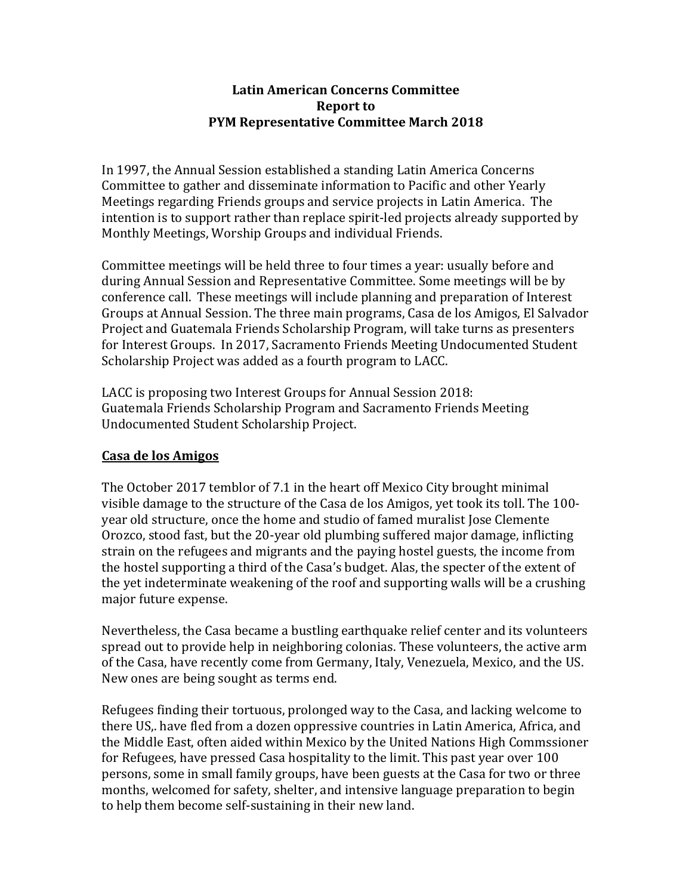#### **Latin American Concerns Committee Report** to **PYM Representative Committee March 2018**

In 1997, the Annual Session established a standing Latin America Concerns Committee to gather and disseminate information to Pacific and other Yearly Meetings regarding Friends groups and service projects in Latin America. The intention is to support rather than replace spirit-led projects already supported by Monthly Meetings, Worship Groups and individual Friends.

Committee meetings will be held three to four times a year: usually before and during Annual Session and Representative Committee. Some meetings will be by conference call. These meetings will include planning and preparation of Interest Groups at Annual Session. The three main programs, Casa de los Amigos, El Salvador Project and Guatemala Friends Scholarship Program, will take turns as presenters for Interest Groups. In 2017, Sacramento Friends Meeting Undocumented Student Scholarship Project was added as a fourth program to LACC.

LACC is proposing two Interest Groups for Annual Session 2018: Guatemala Friends Scholarship Program and Sacramento Friends Meeting Undocumented Student Scholarship Project.

#### **Casa de los Amigos**

The October 2017 temblor of 7.1 in the heart off Mexico City brought minimal visible damage to the structure of the Casa de los Amigos, yet took its toll. The 100year old structure, once the home and studio of famed muralist Jose Clemente Orozco, stood fast, but the 20-year old plumbing suffered major damage, inflicting strain on the refugees and migrants and the paying hostel guests, the income from the hostel supporting a third of the Casa's budget. Alas, the specter of the extent of the yet indeterminate weakening of the roof and supporting walls will be a crushing major future expense.

Nevertheless, the Casa became a bustling earthquake relief center and its volunteers spread out to provide help in neighboring colonias. These volunteers, the active arm of the Casa, have recently come from Germany, Italy, Venezuela, Mexico, and the US. New ones are being sought as terms end.

Refugees finding their tortuous, prolonged way to the Casa, and lacking welcome to there US,. have fled from a dozen oppressive countries in Latin America, Africa, and the Middle East, often aided within Mexico by the United Nations High Commssioner for Refugees, have pressed Casa hospitality to the limit. This past year over 100 persons, some in small family groups, have been guests at the Casa for two or three months, welcomed for safety, shelter, and intensive language preparation to begin to help them become self-sustaining in their new land.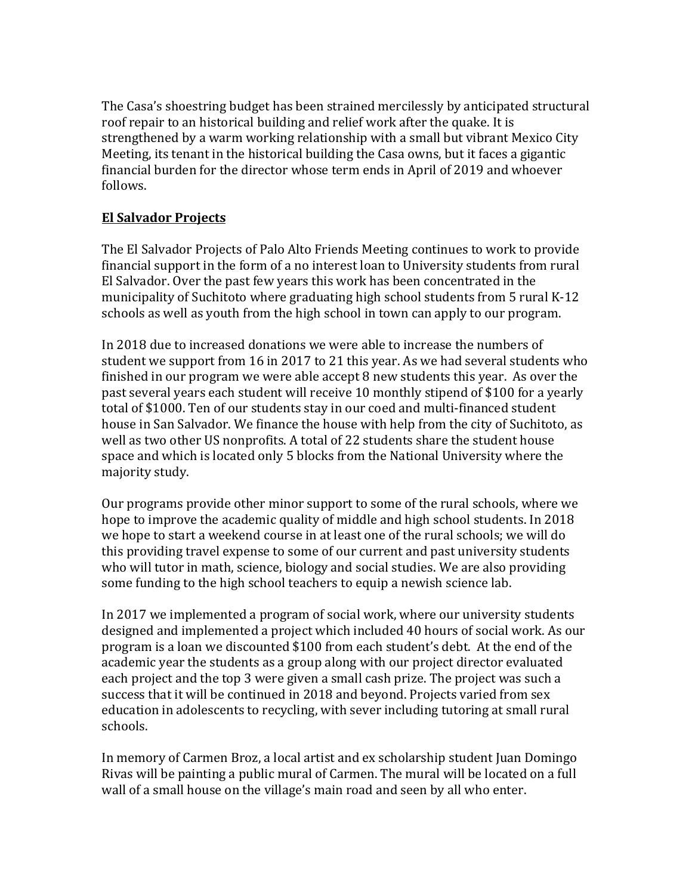The Casa's shoestring budget has been strained mercilessly by anticipated structural roof repair to an historical building and relief work after the quake. It is strengthened by a warm working relationship with a small but vibrant Mexico City Meeting, its tenant in the historical building the Casa owns, but it faces a gigantic financial burden for the director whose term ends in April of 2019 and whoever follows.

## **El Salvador Projects**

The El Salvador Projects of Palo Alto Friends Meeting continues to work to provide financial support in the form of a no interest loan to University students from rural El Salvador. Over the past few years this work has been concentrated in the municipality of Suchitoto where graduating high school students from 5 rural K-12 schools as well as youth from the high school in town can apply to our program.

In 2018 due to increased donations we were able to increase the numbers of student we support from 16 in 2017 to 21 this year. As we had several students who finished in our program we were able accept  $8$  new students this year. As over the past several years each student will receive 10 monthly stipend of \$100 for a yearly total of \$1000. Ten of our students stay in our coed and multi-financed student house in San Salvador. We finance the house with help from the city of Suchitoto, as well as two other US nonprofits. A total of 22 students share the student house space and which is located only 5 blocks from the National University where the majority study.

Our programs provide other minor support to some of the rural schools, where we hope to improve the academic quality of middle and high school students. In 2018 we hope to start a weekend course in at least one of the rural schools; we will do this providing travel expense to some of our current and past university students who will tutor in math, science, biology and social studies. We are also providing some funding to the high school teachers to equip a newish science lab.

In 2017 we implemented a program of social work, where our university students designed and implemented a project which included 40 hours of social work. As our program is a loan we discounted \$100 from each student's debt. At the end of the academic year the students as a group along with our project director evaluated each project and the top 3 were given a small cash prize. The project was such a success that it will be continued in 2018 and beyond. Projects varied from sex education in adolescents to recycling, with sever including tutoring at small rural schools.

In memory of Carmen Broz, a local artist and ex scholarship student Juan Domingo Rivas will be painting a public mural of Carmen. The mural will be located on a full wall of a small house on the village's main road and seen by all who enter.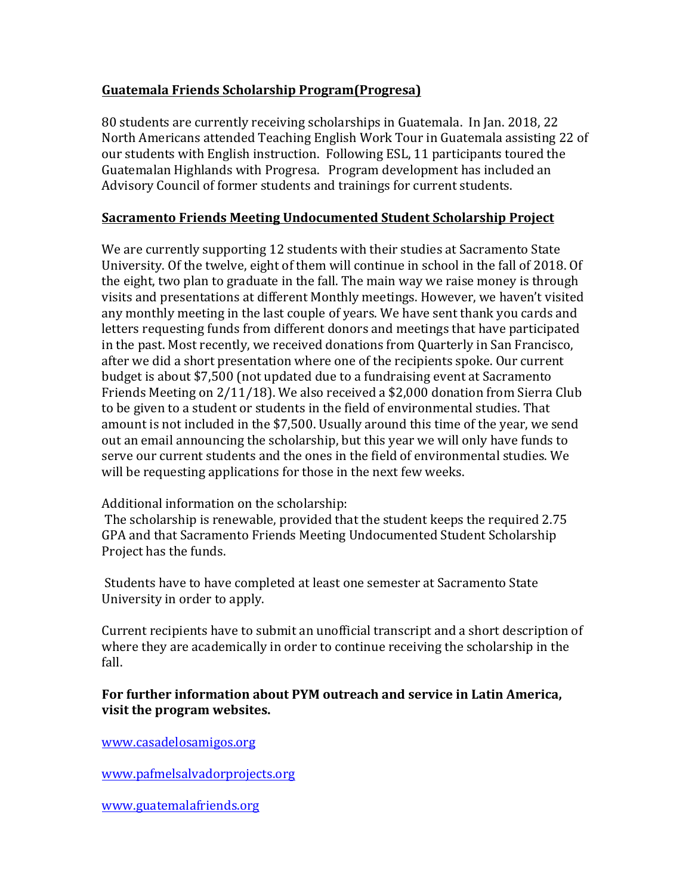### **Guatemala Friends Scholarship Program(Progresa)**

80 students are currently receiving scholarships in Guatemala. In Jan. 2018, 22 North Americans attended Teaching English Work Tour in Guatemala assisting 22 of our students with English instruction. Following ESL, 11 participants toured the Guatemalan Highlands with Progresa. Program development has included an Advisory Council of former students and trainings for current students.

#### **Sacramento Friends Meeting Undocumented Student Scholarship Project**

We are currently supporting 12 students with their studies at Sacramento State University. Of the twelve, eight of them will continue in school in the fall of 2018. Of the eight, two plan to graduate in the fall. The main way we raise money is through visits and presentations at different Monthly meetings. However, we haven't visited any monthly meeting in the last couple of years. We have sent thank you cards and letters requesting funds from different donors and meetings that have participated in the past. Most recently, we received donations from Quarterly in San Francisco, after we did a short presentation where one of the recipients spoke. Our current budget is about \$7,500 (not updated due to a fundraising event at Sacramento Friends Meeting on  $2/11/18$ ). We also received a \$2,000 donation from Sierra Club to be given to a student or students in the field of environmental studies. That amount is not included in the \$7,500. Usually around this time of the year, we send out an email announcing the scholarship, but this year we will only have funds to serve our current students and the ones in the field of environmental studies. We will be requesting applications for those in the next few weeks.

#### Additional information on the scholarship:

The scholarship is renewable, provided that the student keeps the required 2.75 GPA and that Sacramento Friends Meeting Undocumented Student Scholarship Project has the funds.

Students have to have completed at least one semester at Sacramento State University in order to apply.

Current recipients have to submit an unofficial transcript and a short description of where they are academically in order to continue receiving the scholarship in the fall.

### For further information about PYM outreach and service in Latin America, **visit the program websites.**

www.casadelosamigos.org

www.pafmelsalvadorprojects.org

www.guatemalafriends.org